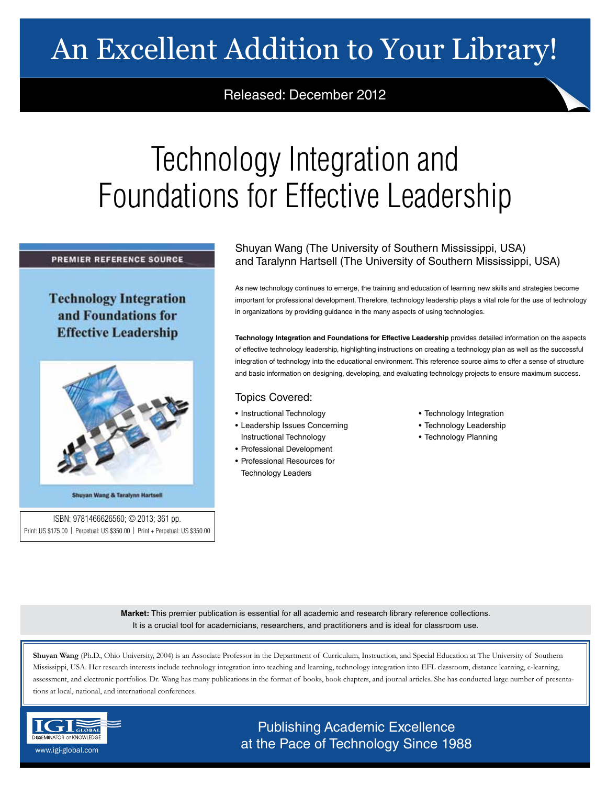# An Excellent Addition to Your Library!

### Released: December 2012

# Technology Integration and Foundations for Effective Leadership

#### **PREMIER REFERENCE SOURCE**

## **Technology Integration** and Foundations for **Effective Leadership**



Shuyan Wang & Taralynn Hartsell

ISBN: 9781466626560; © 2013; 361 pp. Print: US \$175.00 | Perpetual: US \$350.00 | Print + Perpetual: US \$350.00

### Shuyan Wang (The University of Southern Mississippi, USA) and Taralynn Hartsell (The University of Southern Mississippi, USA)

As new technology continues to emerge, the training and education of learning new skills and strategies become important for professional development. Therefore, technology leadership plays a vital role for the use of technology in organizations by providing guidance in the many aspects of using technologies.

**Technology Integration and Foundations for Effective Leadership** provides detailed information on the aspects of effective technology leadership, highlighting instructions on creating a technology plan as well as the successful integration of technology into the educational environment. This reference source aims to offer a sense of structure and basic information on designing, developing, and evaluating technology projects to ensure maximum success.

#### Topics Covered:

- Instructional Technology
- Leadership Issues Concerning Instructional Technology
- Professional Development
- Professional Resources for Technology Leaders
- Technology Integration
- Technology Leadership
- Technology Planning

**Market:** This premier publication is essential for all academic and research library reference collections. It is a crucial tool for academicians, researchers, and practitioners and is ideal for classroom use.

**Shuyan Wang** (Ph.D., Ohio University, 2004) is an Associate Professor in the Department of Curriculum, Instruction, and Special Education at The University of Southern Mississippi, USA. Her research interests include technology integration into teaching and learning, technology integration into EFL classroom, distance learning, e-learning, assessment, and electronic portfolios. Dr. Wang has many publications in the format of books, book chapters, and journal articles. She has conducted large number of presentations at local, national, and international conferences.



Publishing Academic Excellence  $\frac{\text{SINIMI/ICICER} }{\text{SINIMI/ICICER} }$  www.igi-global.com